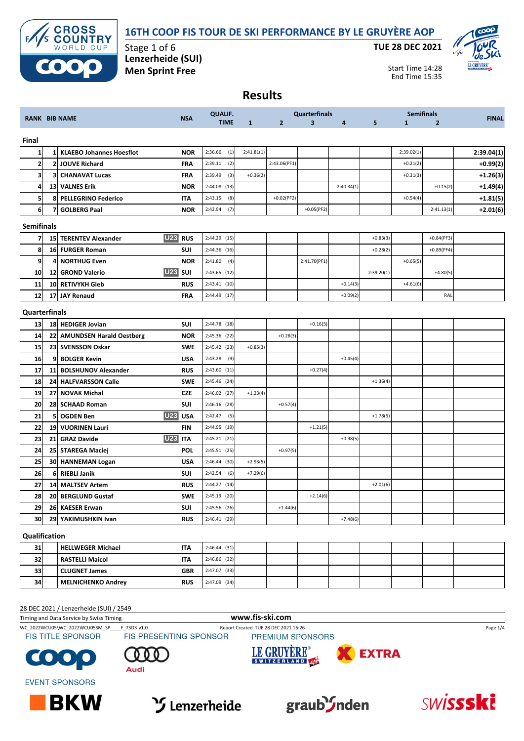## **16TH COOP FIS TOUR DE SKI PERFORMANCE BY LE GRUYÈRE AOP**



Stage 1 of 6 **Lenzerheide (SUI) Men Sprint Free**

**TUE 28 DEC 2021**



Start Time 14:28 End Time 15:35

# **Results**

|                   |                                                            |            | <b>QUALIF.</b>  | <b>Quarterfinals</b> |                |                         |            |            | <b>Semifinals</b> |                |              |
|-------------------|------------------------------------------------------------|------------|-----------------|----------------------|----------------|-------------------------|------------|------------|-------------------|----------------|--------------|
|                   | <b>RANK BIB NAME</b>                                       | <b>NSA</b> | <b>TIME</b>     | $\mathbf{1}$         | $\overline{2}$ | $\overline{\mathbf{3}}$ | 4          | 5          | $\mathbf{1}$      | $\overline{2}$ | <b>FINAL</b> |
| Final             |                                                            |            |                 |                      |                |                         |            |            |                   |                |              |
| $\mathbf{1}$      | <b>KLAEBO Johannes Hoesflot</b><br>1                       | <b>NOR</b> | 2:36.66<br>(1)  | 2:41.81(1)           |                |                         |            |            | 2:39.02(1)        |                | 2:39.04(1)   |
| 2                 | 2<br><b>JOUVE Richard</b>                                  | <b>FRA</b> | 2:39.11<br>(2)  |                      | 2:43.06(PF1)   |                         |            |            | $+0.21(2)$        |                | $+0.99(2)$   |
| 3                 | <b>CHANAVAT Lucas</b><br>3                                 | FRA        | 2:39.49<br>(3)  | $+0.36(2)$           |                |                         |            |            | $+0.31(3)$        |                | $+1.26(3)$   |
| 4                 | 13<br><b>VALNES Erik</b>                                   | <b>NOR</b> | 2:44.08<br>(13) |                      |                |                         | 2:40.34(1) |            |                   | $+0.15(2)$     | $+1.49(4)$   |
| 5                 | 8<br><b>PELLEGRINO Federico</b>                            | <b>ITA</b> | 2:43.15<br>(8)  |                      | $+0.02(PF2)$   |                         |            |            | $+0.54(4)$        |                | $+1.81(5)$   |
| 6 <sup>1</sup>    | 7<br><b>GOLBERG Paal</b>                                   | <b>NOR</b> | 2:42.94<br>(7)  |                      |                | $+0.05(PF2)$            |            |            |                   | 2:41.13(1)     | $+2.01(6)$   |
| <b>Semifinals</b> |                                                            |            |                 |                      |                |                         |            |            |                   |                |              |
| 7                 | <b>U23</b><br><b>TERENTEV Alexander</b><br>15 <sub>1</sub> | <b>RUS</b> | 2:44.29 (15)    |                      |                |                         |            | $+0.83(3)$ |                   | $+0.84(PF3)$   |              |
| 8                 | 16 FURGER Roman                                            | SUI        | 2:44.36 (16)    |                      |                |                         |            | $+0.28(2)$ |                   | $+0.89(PF4)$   |              |
| 9                 | <b>NORTHUG Even</b><br>4                                   | <b>NOR</b> | 2:41.80<br>(4)  |                      |                | 2:41.70(PF1)            |            |            | $+0.65(5)$        |                |              |
| 10                | <b>U23</b><br><b>GROND Valerio</b><br>12                   | SUI        | $2:43.65$ (12)  |                      |                |                         |            | 2:39.20(1) |                   | $+4.80(5)$     |              |
| 11                | <b>RETIVYKH Gleb</b><br>10 <sup>1</sup>                    | <b>RUS</b> | 2:43.41 (10)    |                      |                |                         | $+0.14(3)$ |            | $+4.61(6)$        |                |              |
| 12                | <b>JAY Renaud</b><br>17                                    | <b>FRA</b> | 2:44.49 (17)    |                      |                |                         | $+0.09(2)$ |            |                   | RAL            |              |
| Quarterfinals     |                                                            |            |                 |                      |                |                         |            |            |                   |                |              |
| 13                | 18 HEDIGER Jovian                                          | SUI        | 2:44.78 (18)    |                      |                | $+0.16(3)$              |            |            |                   |                |              |
| 14                | <b>AMUNDSEN Harald Oestberg</b><br>22                      | <b>NOR</b> | 2:45.36 (22)    |                      | $+0.28(3)$     |                         |            |            |                   |                |              |
| 15                | <b>SVENSSON Oskar</b><br>23                                | <b>SWE</b> | 2:45.42 (23)    | $+0.85(3)$           |                |                         |            |            |                   |                |              |
| 16                | 9<br><b>BOLGER Kevin</b>                                   | <b>USA</b> | 2:43.28<br>(9)  |                      |                |                         | $+0.45(4)$ |            |                   |                |              |
| 17                | <b>BOLSHUNOV Alexander</b><br>11                           | <b>RUS</b> | 2:43.60(11)     |                      |                | $+0.27(4)$              |            |            |                   |                |              |
| 18                | <b>HALFVARSSON Calle</b><br>24                             | <b>SWE</b> | 2:45.46 (24)    |                      |                |                         |            | $+1.36(4)$ |                   |                |              |
| 19                | <b>NOVAK Michal</b><br>27                                  | <b>CZE</b> | 2:46.02 (27)    | $+1.23(4)$           |                |                         |            |            |                   |                |              |
| 20                | 28<br><b>SCHAAD Roman</b>                                  | SUI        | 2:46.16 (28)    |                      | $+0.57(4)$     |                         |            |            |                   |                |              |
| 21                | <b>U23</b><br>5<br><b>OGDEN Ben</b>                        | <b>USA</b> | 2:42.47<br>(5)  |                      |                |                         |            | $+1.78(5)$ |                   |                |              |
| 22                | <b>VUORINEN Lauri</b><br>19                                | <b>FIN</b> | 2:44.95 (19)    |                      |                | $+1.21(5)$              |            |            |                   |                |              |
| 23                | <b>U23</b><br>21<br><b>GRAZ Davide</b>                     | <b>ITA</b> | 2:45.21 (21)    |                      |                |                         | $+0.98(5)$ |            |                   |                |              |
| 24                | 25<br><b>STAREGA Maciej</b>                                | <b>POL</b> | 2:45.51 (25)    |                      | $+0.97(5)$     |                         |            |            |                   |                |              |
| 25                | 30 HANNEMAN Logan                                          | <b>USA</b> | 2:46.44 (30)    | $+2.93(5)$           |                |                         |            |            |                   |                |              |
| 26                | 6<br><b>RIEBLI Janik</b>                                   | SUI        | 2:42.54<br>(6)  | $+7.29(6)$           |                |                         |            |            |                   |                |              |
| 27                | <b>MALTSEV Artem</b><br>14                                 | <b>RUS</b> | 2:44.27 (14)    |                      |                |                         |            | $+2.01(6)$ |                   |                |              |
| 28                | 20<br><b>BERGLUND Gustaf</b>                               | <b>SWE</b> | 2:45.19 (20)    |                      |                | $+2.14(6)$              |            |            |                   |                |              |
| 29                | 26<br><b>KAESER Erwan</b>                                  | SUI        | 2:45.56 (26)    |                      | $+1.44(6)$     |                         |            |            |                   |                |              |
| 30                | 29<br>YAKIMUSHKIN Ivan                                     | <b>RUS</b> | 2:46.41 (29)    |                      |                |                         | $+7.48(6)$ |            |                   |                |              |

#### **Qualification**

| 31              | <b>HELLWEGER Michael</b> | <b>ITA</b> | $2:46.44$ (31) |  |  |  |  |
|-----------------|--------------------------|------------|----------------|--|--|--|--|
| 32              | RASTELLI Maicol          | <b>ITA</b> | $2:46.86$ (32) |  |  |  |  |
| 33              | l CLUGNET James          | <b>GBR</b> | 2:47.07 (33)   |  |  |  |  |
| 34 <sup>1</sup> | MELNICHENKO Andrey       | <b>RUS</b> | $2:47.09$ (34) |  |  |  |  |

### 28 DEC 2021 / Lenzerheide (SUI) / 2549

Timing and Data Service by Swiss Timing **www.fis-ski.com**

WC\_2022WCU05\WC\_2022WCU05SM\_SP\_\_\_F\_73D3 v1.0 Report Created TUE 28 DEC 2021 16:26 Page 1/4 Page 1/4<br>
FIS TITLE SPONSOR FIS PRESENTING SPONSOR PREMIUM SPONSORS

















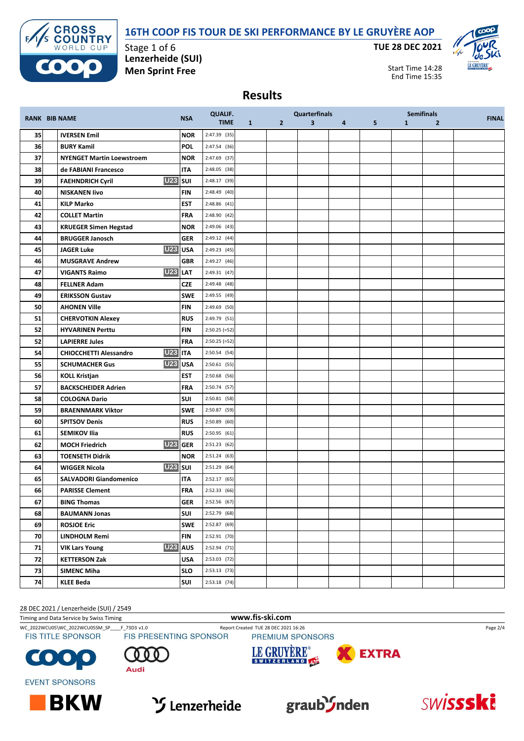# **16TH COOP FIS TOUR DE SKI PERFORMANCE BY LE GRUYÈRE AOP**



Stage 1 of 6 **Lenzerheide (SUI) Men Sprint Free**

**TUE 28 DEC 2021**



Start Time 14:28 End Time 15:35

**Results**

|    | <b>RANK BIB NAME</b>                            | <b>NSA</b> | <b>QUALIF.</b>  |              |              | <b>Quarterfinals</b>    |                |   |              | <b>Semifinals</b> | <b>FINAL</b> |
|----|-------------------------------------------------|------------|-----------------|--------------|--------------|-------------------------|----------------|---|--------------|-------------------|--------------|
|    |                                                 |            | <b>TIME</b>     | $\mathbf{1}$ | $\mathbf{2}$ | $\overline{\mathbf{3}}$ | $\overline{a}$ | 5 | $\mathbf{1}$ | $\overline{2}$    |              |
| 35 | <b>IVERSEN Emil</b>                             | <b>NOR</b> | 2:47.39 (35)    |              |              |                         |                |   |              |                   |              |
| 36 | <b>BURY Kamil</b>                               | <b>POL</b> | 2:47.54 (36)    |              |              |                         |                |   |              |                   |              |
| 37 | <b>NYENGET Martin Loewstroem</b>                | <b>NOR</b> | 2:47.69 (37)    |              |              |                         |                |   |              |                   |              |
| 38 | de FABIANI Francesco                            | <b>ITA</b> | 2:48.05 (38)    |              |              |                         |                |   |              |                   |              |
| 39 | <b>U23</b> SUI<br><b>FAEHNDRICH Cyril</b>       |            | 2:48.17 (39)    |              |              |                         |                |   |              |                   |              |
| 40 | <b>NISKANEN livo</b>                            | <b>FIN</b> | 2:48.49 (40)    |              |              |                         |                |   |              |                   |              |
| 41 | <b>KILP Marko</b>                               | <b>EST</b> | 2:48.86 (41)    |              |              |                         |                |   |              |                   |              |
| 42 | <b>COLLET Martin</b>                            | <b>FRA</b> | 2:48.90 (42)    |              |              |                         |                |   |              |                   |              |
| 43 | <b>KRUEGER Simen Hegstad</b>                    | <b>NOR</b> | 2:49.06 (43)    |              |              |                         |                |   |              |                   |              |
| 44 | <b>BRUGGER Janosch</b>                          | <b>GER</b> | 2:49.12 (44)    |              |              |                         |                |   |              |                   |              |
| 45 | U <sub>23</sub> USA<br><b>JAGER Luke</b>        |            | 2:49.23 (45)    |              |              |                         |                |   |              |                   |              |
| 46 | <b>MUSGRAVE Andrew</b>                          | <b>GBR</b> | 2:49.27 (46)    |              |              |                         |                |   |              |                   |              |
| 47 | <b>U23 LAT</b><br><b>VIGANTS Raimo</b>          |            | 2:49.31 (47)    |              |              |                         |                |   |              |                   |              |
| 48 | <b>FELLNER Adam</b>                             | CZE        | 2:49.48 (48)    |              |              |                         |                |   |              |                   |              |
| 49 | <b>ERIKSSON Gustav</b>                          | <b>SWE</b> | 2:49.55 (49)    |              |              |                         |                |   |              |                   |              |
| 50 | <b>AHONEN Ville</b>                             | <b>FIN</b> | 2:49.69 (50)    |              |              |                         |                |   |              |                   |              |
| 51 | <b>CHERVOTKIN Alexey</b>                        | <b>RUS</b> | 2:49.79 (51)    |              |              |                         |                |   |              |                   |              |
| 52 | <b>HYVARINEN Perttu</b>                         | <b>FIN</b> | $2:50.25 (=52)$ |              |              |                         |                |   |              |                   |              |
| 52 | <b>LAPIERRE Jules</b>                           | FRA        | $2:50.25$ (=52) |              |              |                         |                |   |              |                   |              |
| 54 | <b>U23 ITA</b><br><b>CHIOCCHETTI Alessandro</b> |            | 2:50.54 (54)    |              |              |                         |                |   |              |                   |              |
| 55 | <b>U23</b> USA<br><b>SCHUMACHER Gus</b>         |            | 2:50.61(55)     |              |              |                         |                |   |              |                   |              |
| 56 | <b>KOLL Kristjan</b>                            | <b>EST</b> | 2:50.68 (56)    |              |              |                         |                |   |              |                   |              |
| 57 | <b>BACKSCHEIDER Adrien</b>                      | <b>FRA</b> | 2:50.74 (57)    |              |              |                         |                |   |              |                   |              |
| 58 | <b>COLOGNA Dario</b>                            | SUI        | 2:50.81 (58)    |              |              |                         |                |   |              |                   |              |
| 59 | <b>BRAENNMARK Viktor</b>                        | <b>SWE</b> | 2:50.87 (59)    |              |              |                         |                |   |              |                   |              |
| 60 | <b>SPITSOV Denis</b>                            | <b>RUS</b> | 2:50.89 (60)    |              |              |                         |                |   |              |                   |              |
| 61 | <b>SEMIKOV Ilia</b>                             | <b>RUS</b> | 2:50.95 (61)    |              |              |                         |                |   |              |                   |              |
| 62 | <b>U23</b> GER<br><b>MOCH Friedrich</b>         |            | 2:51.23(62)     |              |              |                         |                |   |              |                   |              |
| 63 | <b>TOENSETH Didrik</b>                          | <b>NOR</b> | 2:51.24 (63)    |              |              |                         |                |   |              |                   |              |
| 64 | <b>U23</b> SUI<br><b>WIGGER Nicola</b>          |            | 2:51.29 (64)    |              |              |                         |                |   |              |                   |              |
| 65 | <b>SALVADORI Giandomenico</b>                   | IΤA        | 2:52.17 (65)    |              |              |                         |                |   |              |                   |              |
| 66 | <b>PARISSE Clement</b>                          | <b>FRA</b> | 2:52.33 (66)    |              |              |                         |                |   |              |                   |              |
| 67 | <b>BING Thomas</b>                              | <b>GER</b> | 2:52.56 (67)    |              |              |                         |                |   |              |                   |              |
| 68 | <b>BAUMANN Jonas</b>                            | SUI        | 2:52.79 (68)    |              |              |                         |                |   |              |                   |              |
| 69 | <b>ROSJOE Eric</b>                              | <b>SWE</b> | 2:52.87 (69)    |              |              |                         |                |   |              |                   |              |
| 70 | LINDHOLM Remi                                   | <b>FIN</b> | 2:52.91 (70)    |              |              |                         |                |   |              |                   |              |
| 71 | <b>U23</b> AUS<br><b>VIK Lars Young</b>         |            | 2:52.94 (71)    |              |              |                         |                |   |              |                   |              |
| 72 | <b>KETTERSON Zak</b>                            | <b>USA</b> | 2:53.03 (72)    |              |              |                         |                |   |              |                   |              |
| 73 | <b>SIMENC Miha</b>                              | <b>SLO</b> | $2:53.13$ (73)  |              |              |                         |                |   |              |                   |              |
| 74 | <b>KLEE Beda</b>                                | SUI        | 2:53.18 (74)    |              |              |                         |                |   |              |                   |              |

28 DEC 2021 / Lenzerheide (SUI) / 2549

Timing and Data Service by Swiss Timing **www.fis-ski.com**

**BKW** 

WC\_2022WCU05\WC\_2022WCU05SM\_SP\_\_\_F\_73D3 v1.0 Report Created TUE 28 DEC 2021 16:26 Page 2/4 Page 2/4 Page 2/4 Page 2/4 Page 2/4





**EVENT SPONSORS** 







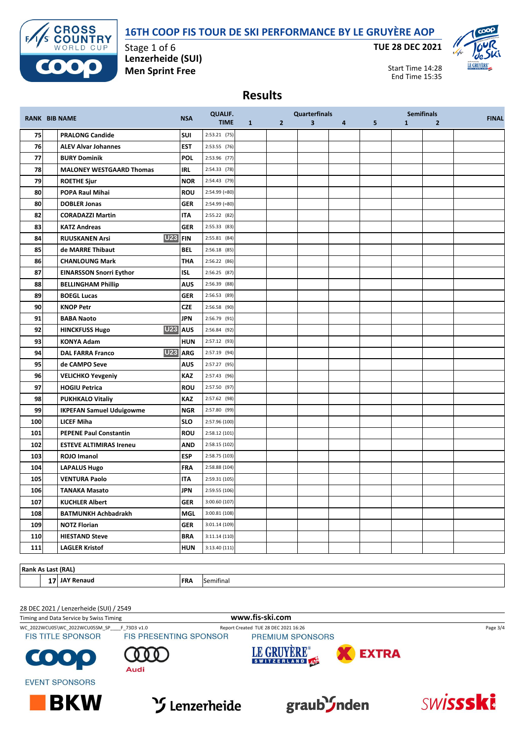## **16TH COOP FIS TOUR DE SKI PERFORMANCE BY LE GRUYÈRE AOP**



Stage 1 of 6 **Lenzerheide (SUI) Men Sprint Free**

**TUE 28 DEC 2021**



Start Time 14:28 End Time 15:35

**Results**

|     | <b>RANK BIB NAME</b> |                                         | <b>QUALIF.</b><br><b>NSA</b> |               |              |                | <b>Quarterfinals</b> |   |   | <b>Semifinals</b> |                | <b>FINAL</b> |
|-----|----------------------|-----------------------------------------|------------------------------|---------------|--------------|----------------|----------------------|---|---|-------------------|----------------|--------------|
|     |                      |                                         |                              | <b>TIME</b>   | $\mathbf{1}$ | $\overline{2}$ | 3                    | 4 | 5 | $\mathbf{1}$      | $\overline{2}$ |              |
| 75  |                      | <b>PRALONG Candide</b>                  | SUI                          | 2:53.21 (75)  |              |                |                      |   |   |                   |                |              |
| 76  |                      | <b>ALEV Alvar Johannes</b>              | <b>EST</b>                   | 2:53.55 (76)  |              |                |                      |   |   |                   |                |              |
| 77  |                      | <b>BURY Dominik</b>                     | <b>POL</b>                   | 2:53.96 (77)  |              |                |                      |   |   |                   |                |              |
| 78  |                      | <b>MALONEY WESTGAARD Thomas</b>         | IRL                          | 2:54.33 (78)  |              |                |                      |   |   |                   |                |              |
| 79  |                      | <b>ROETHE Sjur</b>                      | <b>NOR</b>                   | 2:54.43 (79)  |              |                |                      |   |   |                   |                |              |
| 80  |                      | POPA Raul Mihai                         | <b>ROU</b>                   | 2:54.99 (=80) |              |                |                      |   |   |                   |                |              |
| 80  |                      | <b>DOBLER Jonas</b>                     | <b>GER</b>                   | 2:54.99 (=80) |              |                |                      |   |   |                   |                |              |
| 82  |                      | <b>CORADAZZI Martin</b>                 | <b>ITA</b>                   | 2:55.22 (82)  |              |                |                      |   |   |                   |                |              |
| 83  |                      | <b>KATZ Andreas</b>                     | <b>GER</b>                   | 2:55.33 (83)  |              |                |                      |   |   |                   |                |              |
| 84  |                      | <b>U23 FIN</b><br><b>RUUSKANEN Arsi</b> |                              | 2:55.81 (84)  |              |                |                      |   |   |                   |                |              |
| 85  |                      | de MARRE Thibaut                        | <b>BEL</b>                   | 2:56.18 (85)  |              |                |                      |   |   |                   |                |              |
| 86  |                      | <b>CHANLOUNG Mark</b>                   | <b>THA</b>                   | 2:56.22 (86)  |              |                |                      |   |   |                   |                |              |
| 87  |                      | <b>EINARSSON Snorri Eythor</b>          | <b>ISL</b>                   | 2:56.25 (87)  |              |                |                      |   |   |                   |                |              |
| 88  |                      | <b>BELLINGHAM Phillip</b>               | AUS                          | 2:56.39 (88)  |              |                |                      |   |   |                   |                |              |
| 89  |                      | <b>BOEGL Lucas</b>                      | <b>GER</b>                   | 2:56.53 (89)  |              |                |                      |   |   |                   |                |              |
| 90  |                      | <b>KNOP Petr</b>                        | <b>CZE</b>                   | 2:56.58 (90)  |              |                |                      |   |   |                   |                |              |
| 91  |                      | <b>BABA Naoto</b>                       | <b>JPN</b>                   | 2:56.79 (91)  |              |                |                      |   |   |                   |                |              |
| 92  |                      | <b>U23</b> AUS<br><b>HINCKFUSS Hugo</b> |                              | 2:56.84 (92)  |              |                |                      |   |   |                   |                |              |
| 93  |                      | <b>KONYA Adam</b>                       | <b>HUN</b>                   | 2:57.12 (93)  |              |                |                      |   |   |                   |                |              |
| 94  |                      | U23 ARG<br><b>DAL FARRA Franco</b>      |                              | 2:57.19 (94)  |              |                |                      |   |   |                   |                |              |
| 95  |                      | de CAMPO Seve                           | <b>AUS</b>                   | 2:57.27 (95)  |              |                |                      |   |   |                   |                |              |
| 96  |                      | <b>VELICHKO Yevgeniy</b>                | KAZ                          | 2:57.43 (96)  |              |                |                      |   |   |                   |                |              |
| 97  |                      | <b>HOGIU Petrica</b>                    | <b>ROU</b>                   | 2:57.50 (97)  |              |                |                      |   |   |                   |                |              |
| 98  |                      | <b>PUKHKALO Vitaliy</b>                 | KAZ                          | 2:57.62 (98)  |              |                |                      |   |   |                   |                |              |
| 99  |                      | <b>IKPEFAN Samuel Uduigowme</b>         | <b>NGR</b>                   | 2:57.80 (99)  |              |                |                      |   |   |                   |                |              |
| 100 |                      | <b>LICEF Miha</b>                       | <b>SLO</b>                   | 2:57.96 (100) |              |                |                      |   |   |                   |                |              |
| 101 |                      | <b>PEPENE Paul Constantin</b>           | <b>ROU</b>                   | 2:58.12 (101) |              |                |                      |   |   |                   |                |              |
| 102 |                      | <b>ESTEVE ALTIMIRAS Ireneu</b>          | <b>AND</b>                   | 2:58.15 (102) |              |                |                      |   |   |                   |                |              |
| 103 |                      | ROJO Imanol                             | <b>ESP</b>                   | 2:58.75 (103) |              |                |                      |   |   |                   |                |              |
| 104 |                      | <b>LAPALUS Hugo</b>                     | FRA                          | 2:58.88 (104) |              |                |                      |   |   |                   |                |              |
| 105 |                      | <b>VENTURA Paolo</b>                    | <b>ITA</b>                   | 2:59.31 (105) |              |                |                      |   |   |                   |                |              |
| 106 |                      | <b>TANAKA Masato</b>                    | <b>JPN</b>                   | 2:59.55 (106) |              |                |                      |   |   |                   |                |              |
| 107 |                      | <b>KUCHLER Albert</b>                   | <b>GER</b>                   | 3:00.60 (107) |              |                |                      |   |   |                   |                |              |
| 108 |                      | <b>BATMUNKH Achbadrakh</b>              | <b>MGL</b>                   | 3:00.81 (108) |              |                |                      |   |   |                   |                |              |
| 109 |                      | <b>NOTZ Florian</b>                     | <b>GER</b>                   | 3:01.14 (109) |              |                |                      |   |   |                   |                |              |
| 110 |                      | <b>HIESTAND Steve</b>                   | <b>BRA</b>                   | 3:11.14(110)  |              |                |                      |   |   |                   |                |              |
| 111 |                      | <b>LAGLER Kristof</b>                   | <b>HUN</b>                   | 3:13.40(111)  |              |                |                      |   |   |                   |                |              |

**Rank As Last (RAL)**

JAY Renaud **FRA** Semifinal

28 DEC 2021 / Lenzerheide (SUI) / 2549